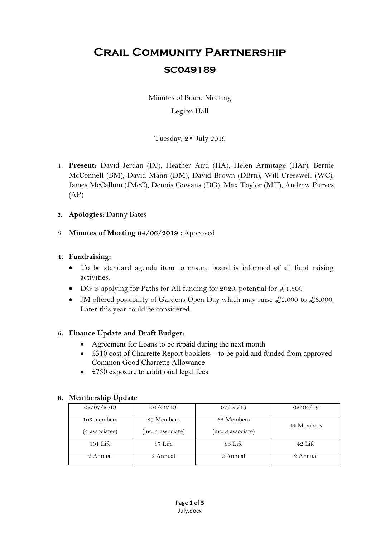# **Crail Community Partnership SC049189**

Minutes of Board Meeting

### Legion Hall

Tuesday, 2nd July 2019

- 1. **Present:** David Jerdan (DJ), Heather Aird (HA), Helen Armitage (HAr), Bernie McConnell (BM), David Mann (DM), David Brown (DBrn), Will Cresswell (WC), James McCallum (JMcC), Dennis Gowans (DG), Max Taylor (MT), Andrew Purves  $(AP)$
- **2. Apologies:** Danny Bates
- 3. **Minutes of Meeting 04/06/2019 :** Approved

### **4. Fundraising:**

- To be standard agenda item to ensure board is informed of all fund raising activities.
- DG is applying for Paths for All funding for 2020, potential for  $\mathcal{L}1,500$
- JM offered possibility of Gardens Open Day which may raise  $\text{\textsterling}2,000$  to  $\text{\textsterling}3,000$ . Later this year could be considered.

### **5. Finance Update and Draft Budget:**

- Agreement for Loans to be repaid during the next month
- £310 cost of Charrette Report booklets to be paid and funded from approved Common Good Charrette Allowance
- £750 exposure to additional legal fees

### **6. Membership Update**

| 02/07/2019     | 04/06/19           | 07/05/19           | 02/04/19   |  |
|----------------|--------------------|--------------------|------------|--|
| 103 members    | 89 Members         | 65 Members         | 44 Members |  |
| (4 associates) | (inc. 4 associate) | (inc. 3 associate) |            |  |
| $101$ Life     | 87 Life            | 63 Life            | 42 Life    |  |
| 2 Annual       | 2 Annual           | 2 Annual           | 2 Annual   |  |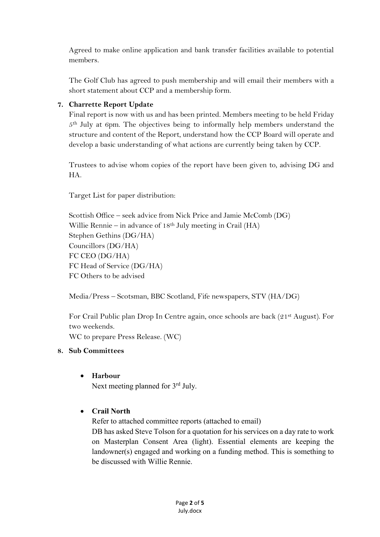Agreed to make online application and bank transfer facilities available to potential members.

The Golf Club has agreed to push membership and will email their members with a short statement about CCP and a membership form.

### **7. Charrette Report Update**

Final report is now with us and has been printed. Members meeting to be held Friday 5th July at 6pm. The objectives being to informally help members understand the structure and content of the Report, understand how the CCP Board will operate and develop a basic understanding of what actions are currently being taken by CCP.

Trustees to advise whom copies of the report have been given to, advising DG and HA.

Target List for paper distribution:

Scottish Office – seek advice from Nick Price and Jamie McComb (DG) Willie Rennie – in advance of 18th July meeting in Crail (HA) Stephen Gethins (DG/HA) Councillors (DG/HA) FC CEO (DG/HA) FC Head of Service (DG/HA) FC Others to be advised

Media/Press – Scotsman, BBC Scotland, Fife newspapers, STV (HA/DG)

For Crail Public plan Drop In Centre again, once schools are back (21st August). For two weekends.

WC to prepare Press Release. (WC)

#### **8. Sub Committees**

#### **Harbour**

Next meeting planned for 3<sup>rd</sup> July.

### **Crail North**

Refer to attached committee reports (attached to email)

DB has asked Steve Tolson for a quotation for his services on a day rate to work on Masterplan Consent Area (light). Essential elements are keeping the landowner(s) engaged and working on a funding method. This is something to be discussed with Willie Rennie.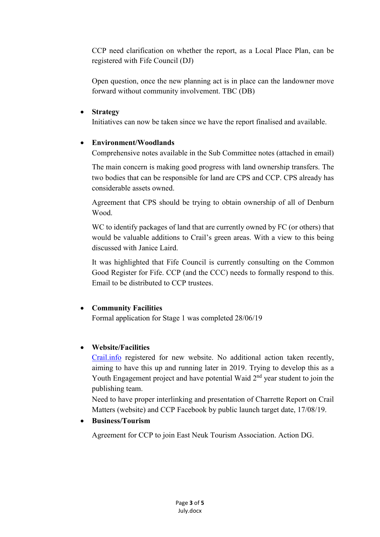CCP need clarification on whether the report, as a Local Place Plan, can be registered with Fife Council (DJ)

Open question, once the new planning act is in place can the landowner move forward without community involvement. TBC (DB)

#### **Strategy**

Initiatives can now be taken since we have the report finalised and available.

#### **Environment/Woodlands**

Comprehensive notes available in the Sub Committee notes (attached in email)

The main concern is making good progress with land ownership transfers. The two bodies that can be responsible for land are CPS and CCP. CPS already has considerable assets owned.

Agreement that CPS should be trying to obtain ownership of all of Denburn Wood.

WC to identify packages of land that are currently owned by FC (or others) that would be valuable additions to Crail's green areas. With a view to this being discussed with Janice Laird.

It was highlighted that Fife Council is currently consulting on the Common Good Register for Fife. CCP (and the CCC) needs to formally respond to this. Email to be distributed to CCP trustees.

### **Community Facilities**

Formal application for Stage 1 was completed 28/06/19

### **Website/Facilities**

Crail.info registered for new website. No additional action taken recently, aiming to have this up and running later in 2019. Trying to develop this as a Youth Engagement project and have potential Waid 2<sup>nd</sup> year student to join the publishing team.

Need to have proper interlinking and presentation of Charrette Report on Crail Matters (website) and CCP Facebook by public launch target date, 17/08/19.

**Business/Tourism** 

Agreement for CCP to join East Neuk Tourism Association. Action DG.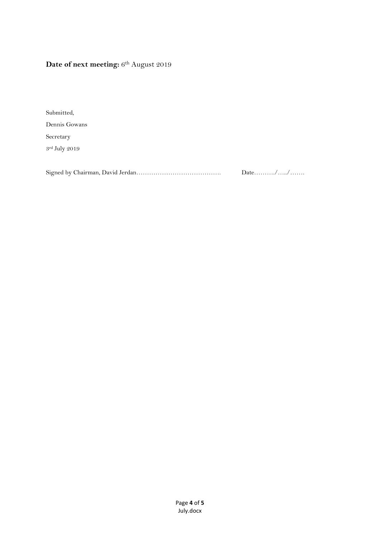## Date of next meeting:  $6<sup>th</sup>$  August 2019

Submitted, Dennis Gowans Secretary 3rd July 2019

Signed by Chairman, David Jerdan…………………………………. Date………./…../…….